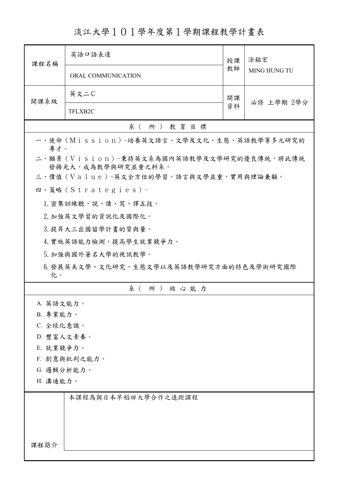淡江大學101學年度第1學期課程教學計畫表

| 課程名稱                                                            | 英語口語表達                                 | 授課 | 涂銘宏<br>MING HUNG TU |  |
|-----------------------------------------------------------------|----------------------------------------|----|---------------------|--|
|                                                                 | ORAL COMMUNICATION                     | 教師 |                     |  |
| 開課系級                                                            | 英文二C                                   |    | 必修 上學期 2學分          |  |
|                                                                 | TFLXB2C                                | 資料 |                     |  |
|                                                                 | 系(所)教育目標                               |    |                     |  |
| 一、使命 (Mission) -培養英文語言、文學及文化、生態、英語教學等多元研究的<br>專才。               |                                        |    |                     |  |
| 二、願景 (Vision)-秉持英文系為國內英語教學及文學研究的優良傳統,將此傳統<br>發揚光大,成為教學與研究並重之科系。 |                                        |    |                     |  |
|                                                                 | 三、價值 (Value)-英文全方位的學習,語言與文學並重,實用與理論兼顧。 |    |                     |  |
|                                                                 | 四、策略 (Strategies) -                    |    |                     |  |
|                                                                 | 1. 密集訓練聽、說、讀、寫、譯五技。                    |    |                     |  |
|                                                                 | 2. 加強英文學習的資訊化及國際化。                     |    |                     |  |
|                                                                 | 3. 提昇大三出國留學計畫的質與量。                     |    |                     |  |
|                                                                 | 4. 實施英語能力檢測,提高學生就業競爭力。                 |    |                     |  |
|                                                                 | 5. 加強與國外著名大學的視訊教學。                     |    |                     |  |
| 6. 發展英美文學、文化研究、生態文學以及英語教學研究方面的特色及學術研究國際<br>化。                   |                                        |    |                     |  |
|                                                                 | 系(所)核心能力                               |    |                     |  |
| A. 英語文能力。                                                       |                                        |    |                     |  |
| B. 專業能力。                                                        |                                        |    |                     |  |
|                                                                 | C. 全球化意識。                              |    |                     |  |
|                                                                 | D. 豐富人文素養。                             |    |                     |  |
| E. 就業競爭力。                                                       |                                        |    |                     |  |
| F. 創意與批判之能力。                                                    |                                        |    |                     |  |
| G. 邏輯分析能力。                                                      |                                        |    |                     |  |
| H. 溝通能力。                                                        |                                        |    |                     |  |
|                                                                 | 本課程為與日本早稻田大學合作之遠距課程                    |    |                     |  |
|                                                                 |                                        |    |                     |  |
|                                                                 |                                        |    |                     |  |
|                                                                 |                                        |    |                     |  |
| 課程簡介                                                            |                                        |    |                     |  |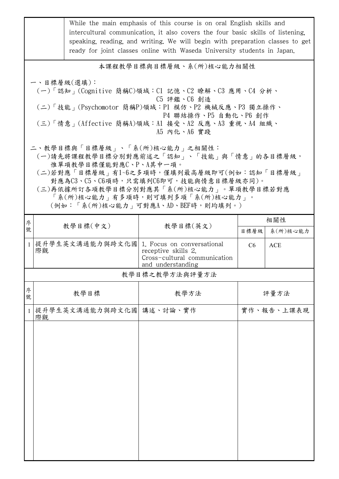|              |                                                                                                                                                                                                                                                                                                                |                 | While the main emphasis of this course is on oral English skills and<br>intercultural communication, it also covers the four basic skills of listening,<br>speaking, reading, and writing. We will begin with preparation classes to get<br>ready for joint classes online with Waseda University students in Japan. |            |                        |  |
|--------------|----------------------------------------------------------------------------------------------------------------------------------------------------------------------------------------------------------------------------------------------------------------------------------------------------------------|-----------------|----------------------------------------------------------------------------------------------------------------------------------------------------------------------------------------------------------------------------------------------------------------------------------------------------------------------|------------|------------------------|--|
|              | 本課程教學目標與目標層級、系(所)核心能力相關性                                                                                                                                                                                                                                                                                       |                 |                                                                                                                                                                                                                                                                                                                      |            |                        |  |
|              | 一、目標層級(選填):<br>(一)「認知」(Cognitive 簡稱C)領域:C1 記憶、C2 瞭解、C3 應用、C4 分析、<br>C5 評鑑、C6 創造<br>(二)「技能」(Psychomotor 簡稱P)領域:P1 模仿、P2 機械反應、P3 獨立操作、<br>P4 聯結操作、P5 自動化、P6 創作<br>(三)「情意」(Affective 簡稱A)領域:A1 接受、A2 反應、A3 重視、A4 組織、<br>A5 内化、A6 實踐                                                                               |                 |                                                                                                                                                                                                                                                                                                                      |            |                        |  |
|              | 二、教學目標與「目標層級」、「系(所)核心能力」之相關性:<br>(一)請先將課程教學目標分別對應前述之「認知」、「技能」與「情意」的各目標層級,<br>惟單項教學目標僅能對應C、P、A其中一項。<br>(二)若對應「目標層級」有1~6之多項時,僅填列最高層級即可(例如:認知「目標層級」<br>對應為C3、C5、C6項時,只需填列C6即可,技能與情意目標層級亦同)。<br>(三)再依據所訂各項教學目標分別對應其「系(所)核心能力」。單項教學目標若對應<br>「系(所)核心能力」有多項時,則可填列多項「系(所)核心能力」。<br>(例如:「系(所)核心能力   可對應A、AD、BEF時,則均填列。) |                 |                                                                                                                                                                                                                                                                                                                      |            |                        |  |
| 序<br>號       |                                                                                                                                                                                                                                                                                                                | 教學目標(中文)        | 教學目標(英文)                                                                                                                                                                                                                                                                                                             |            | 相關性                    |  |
| $\mathbf{1}$ | 際觀                                                                                                                                                                                                                                                                                                             | 提升學生英文溝通能力與跨文化國 | 1. Focus on conversational<br>receptive skills 2.<br>Cross-cultural communication<br>and understanding                                                                                                                                                                                                               | 目標層級<br>C6 | 系(所)核心能力<br><b>ACE</b> |  |
|              |                                                                                                                                                                                                                                                                                                                |                 | 教學目標之教學方法與評量方法                                                                                                                                                                                                                                                                                                       |            |                        |  |
| 序<br>號       |                                                                                                                                                                                                                                                                                                                | 教學目標            | 教學方法                                                                                                                                                                                                                                                                                                                 |            | 評量方法                   |  |
| $\mathbf{1}$ | 際觀                                                                                                                                                                                                                                                                                                             | 提升學生英文溝通能力與跨文化國 | 講述、討論、實作                                                                                                                                                                                                                                                                                                             |            | 實作、報告、上課表現             |  |
|              |                                                                                                                                                                                                                                                                                                                |                 |                                                                                                                                                                                                                                                                                                                      |            |                        |  |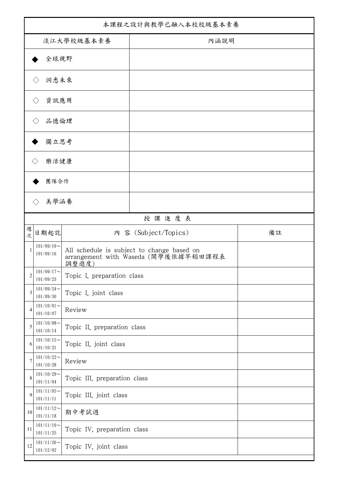| 本課程之設計與教學已融入本校校級基本素養 |                                      |                              |                                                                                    |    |
|----------------------|--------------------------------------|------------------------------|------------------------------------------------------------------------------------|----|
| 淡江大學校級基本素養           |                                      |                              | 內涵說明                                                                               |    |
| 全球視野                 |                                      |                              |                                                                                    |    |
|                      | 洞悉未來<br>$\langle \rangle$            |                              |                                                                                    |    |
|                      | 資訊應用<br>$\langle \ \rangle$          |                              |                                                                                    |    |
|                      |                                      |                              |                                                                                    |    |
|                      | 品德倫理                                 |                              |                                                                                    |    |
|                      | 獨立思考                                 |                              |                                                                                    |    |
|                      | 樂活健康<br>$\langle$ $\rangle$          |                              |                                                                                    |    |
|                      | 團隊合作                                 |                              |                                                                                    |    |
|                      | 美學涵養<br>$\left\langle \right\rangle$ |                              |                                                                                    |    |
|                      |                                      |                              | 授課進度表                                                                              |    |
| 週<br>次               | 日期起訖                                 |                              | 內 容 (Subject/Topics)                                                               | 備註 |
| 1                    | $101/09/10$ ~<br>101/09/16           | 調整進度)                        | All schedule is subject to change based on<br>arrangement with Waseda (開學後依據早稻田課程表 |    |
| $\boldsymbol{2}$     | $101/09/17\!\sim$<br>101/09/23       | Topic I, preparation class   |                                                                                    |    |
| 3                    | $101/09/24$ ~<br>101/09/30           | Topic I, joint class         |                                                                                    |    |
| 4                    | $101/10/01$ ~<br>101/10/07           | Review                       |                                                                                    |    |
| 5                    | $101/10/08$ ~<br>101/10/14           | Topic II, preparation class  |                                                                                    |    |
| 6                    | $101/10/15$ ~<br>101/10/21           | Topic II, joint class        |                                                                                    |    |
| 7                    | $101/10/22$ ~<br>101/10/28           | Review                       |                                                                                    |    |
| 8                    | $101/10/29$ ~<br>101/11/04           | Topic III, preparation class |                                                                                    |    |
| 9                    | $101/11/05$ ~<br>101/11/11           | Topic III, joint class       |                                                                                    |    |
| 10                   | $101/11/12$ ~<br>101/11/18           | 期中考試週                        |                                                                                    |    |
| 11                   | $101/11/19$ ~<br>101/11/25           | Topic IV, preparation class  |                                                                                    |    |
| 12                   | $101/11/26$ ~<br>101/12/02           | Topic IV, joint class        |                                                                                    |    |